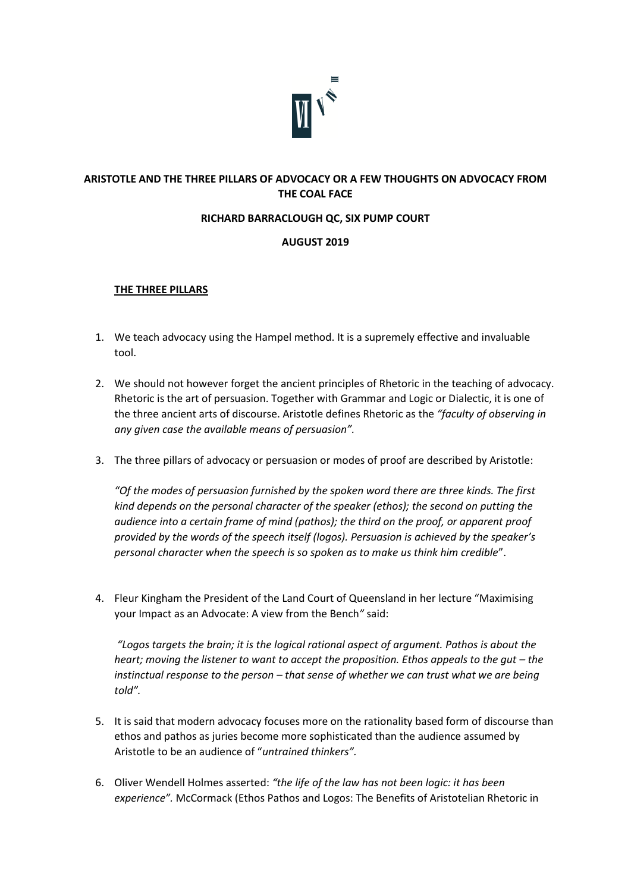

# **ARISTOTLE AND THE THREE PILLARS OF ADVOCACY OR A FEW THOUGHTS ON ADVOCACY FROM THE COAL FACE**

### **RICHARD BARRACLOUGH QC, SIX PUMP COURT**

### **AUGUST 2019**

#### **THE THREE PILLARS**

- 1. We teach advocacy using the Hampel method. It is a supremely effective and invaluable tool.
- 2. We should not however forget the ancient principles of Rhetoric in the teaching of advocacy. Rhetoric is the art of persuasion. Together with Grammar and Logic or Dialectic, it is one of the three ancient arts of discourse. Aristotle defines Rhetoric as the *"faculty of observing in any given case the available means of persuasion".*
- 3. The three pillars of advocacy or persuasion or modes of proof are described by Aristotle:

*"Of the modes of persuasion furnished by the spoken word there are three kinds. The first kind depends on the personal character of the speaker (ethos); the second on putting the audience into a certain frame of mind (pathos); the third on the proof, or apparent proof provided by the words of the speech itself (logos). Persuasion is achieved by the speaker's personal character when the speech is so spoken as to make us think him credible*".

4. Fleur Kingham the President of the Land Court of Queensland in her lecture "Maximising your Impact as an Advocate: A view from the Bench*"* said:

*"Logos targets the brain; it is the logical rational aspect of argument. Pathos is about the heart; moving the listener to want to accept the proposition. Ethos appeals to the gut – the instinctual response to the person – that sense of whether we can trust what we are being told".*

- 5. It is said that modern advocacy focuses more on the rationality based form of discourse than ethos and pathos as juries become more sophisticated than the audience assumed by Aristotle to be an audience of "*untrained thinkers".*
- 6. Oliver Wendell Holmes asserted: *"the life of the law has not been logic: it has been experience".* McCormack (Ethos Pathos and Logos: The Benefits of Aristotelian Rhetoric in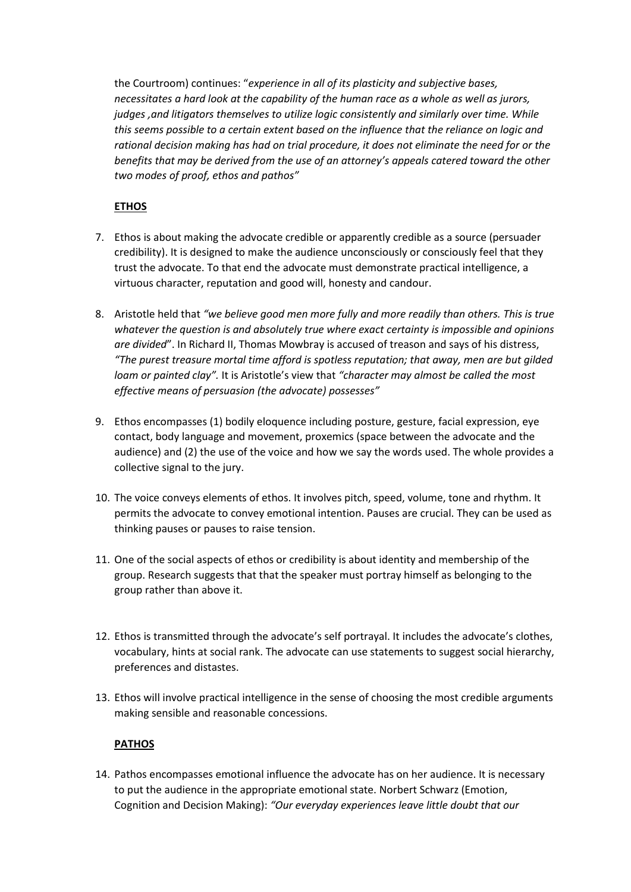the Courtroom) continues: "*experience in all of its plasticity and subjective bases, necessitates a hard look at the capability of the human race as a whole as well as jurors, judges ,and litigators themselves to utilize logic consistently and similarly over time. While this seems possible to a certain extent based on the influence that the reliance on logic and rational decision making has had on trial procedure, it does not eliminate the need for or the benefits that may be derived from the use of an attorney's appeals catered toward the other two modes of proof, ethos and pathos"*

# **ETHOS**

- 7. Ethos is about making the advocate credible or apparently credible as a source (persuader credibility). It is designed to make the audience unconsciously or consciously feel that they trust the advocate. To that end the advocate must demonstrate practical intelligence, a virtuous character, reputation and good will, honesty and candour.
- 8. Aristotle held that *"we believe good men more fully and more readily than others. This is true whatever the question is and absolutely true where exact certainty is impossible and opinions are divided*". In Richard II, Thomas Mowbray is accused of treason and says of his distress, *"The purest treasure mortal time afford is spotless reputation; that away, men are but gilded loam or painted clay".* It is Aristotle's view that *"character may almost be called the most effective means of persuasion (the advocate) possesses"*
- 9. Ethos encompasses (1) bodily eloquence including posture, gesture, facial expression, eye contact, body language and movement, proxemics (space between the advocate and the audience) and (2) the use of the voice and how we say the words used. The whole provides a collective signal to the jury.
- 10. The voice conveys elements of ethos. It involves pitch, speed, volume, tone and rhythm. It permits the advocate to convey emotional intention. Pauses are crucial. They can be used as thinking pauses or pauses to raise tension.
- 11. One of the social aspects of ethos or credibility is about identity and membership of the group. Research suggests that that the speaker must portray himself as belonging to the group rather than above it.
- 12. Ethos is transmitted through the advocate's self portrayal. It includes the advocate's clothes, vocabulary, hints at social rank. The advocate can use statements to suggest social hierarchy, preferences and distastes.
- 13. Ethos will involve practical intelligence in the sense of choosing the most credible arguments making sensible and reasonable concessions.

## **PATHOS**

14. Pathos encompasses emotional influence the advocate has on her audience. It is necessary to put the audience in the appropriate emotional state. Norbert Schwarz (Emotion, Cognition and Decision Making): *"Our everyday experiences leave little doubt that our*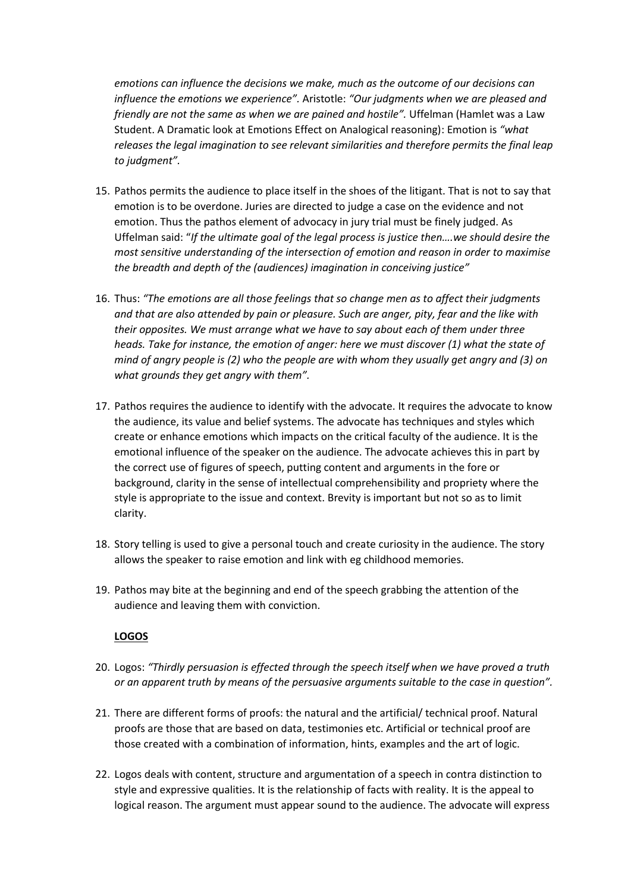*emotions can influence the decisions we make, much as the outcome of our decisions can influence the emotions we experience".* Aristotle: *"Our judgments when we are pleased and friendly are not the same as when we are pained and hostile".* Uffelman (Hamlet was a Law Student. A Dramatic look at Emotions Effect on Analogical reasoning): Emotion is *"what releases the legal imagination to see relevant similarities and therefore permits the final leap to judgment".* 

- 15. Pathos permits the audience to place itself in the shoes of the litigant. That is not to say that emotion is to be overdone. Juries are directed to judge a case on the evidence and not emotion. Thus the pathos element of advocacy in jury trial must be finely judged. As Uffelman said: "*If the ultimate goal of the legal process is justice then….we should desire the most sensitive understanding of the intersection of emotion and reason in order to maximise the breadth and depth of the (audiences) imagination in conceiving justice"*
- 16. Thus: *"The emotions are all those feelings that so change men as to affect their judgments and that are also attended by pain or pleasure. Such are anger, pity, fear and the like with their opposites. We must arrange what we have to say about each of them under three heads. Take for instance, the emotion of anger: here we must discover (1) what the state of mind of angry people is (2) who the people are with whom they usually get angry and (3) on what grounds they get angry with them".*
- 17. Pathos requires the audience to identify with the advocate. It requires the advocate to know the audience, its value and belief systems. The advocate has techniques and styles which create or enhance emotions which impacts on the critical faculty of the audience. It is the emotional influence of the speaker on the audience. The advocate achieves this in part by the correct use of figures of speech, putting content and arguments in the fore or background, clarity in the sense of intellectual comprehensibility and propriety where the style is appropriate to the issue and context. Brevity is important but not so as to limit clarity.
- 18. Story telling is used to give a personal touch and create curiosity in the audience. The story allows the speaker to raise emotion and link with eg childhood memories.
- 19. Pathos may bite at the beginning and end of the speech grabbing the attention of the audience and leaving them with conviction.

#### **LOGOS**

- 20. Logos: *"Thirdly persuasion is effected through the speech itself when we have proved a truth or an apparent truth by means of the persuasive arguments suitable to the case in question".*
- 21. There are different forms of proofs: the natural and the artificial/ technical proof. Natural proofs are those that are based on data, testimonies etc. Artificial or technical proof are those created with a combination of information, hints, examples and the art of logic.
- 22. Logos deals with content, structure and argumentation of a speech in contra distinction to style and expressive qualities. It is the relationship of facts with reality. It is the appeal to logical reason. The argument must appear sound to the audience. The advocate will express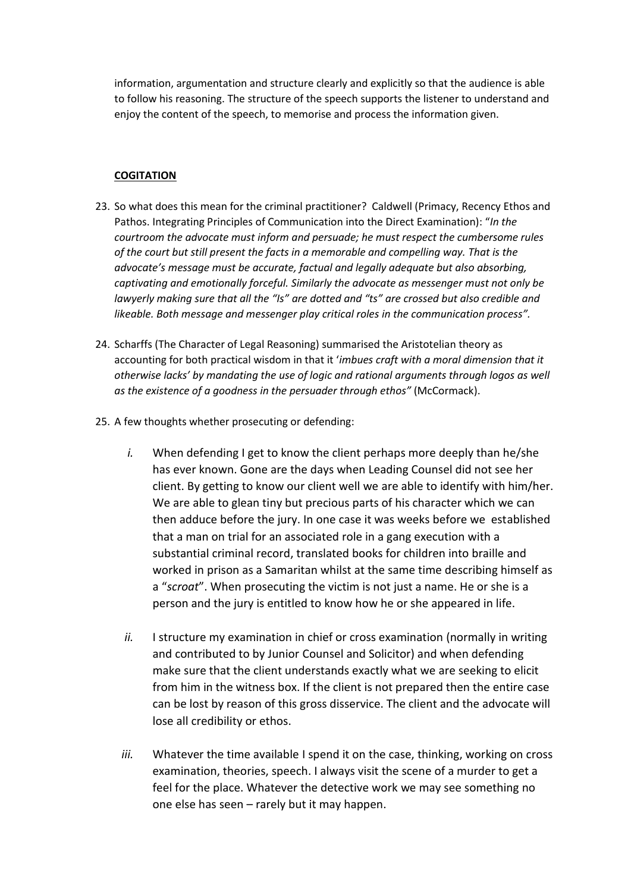information, argumentation and structure clearly and explicitly so that the audience is able to follow his reasoning. The structure of the speech supports the listener to understand and enjoy the content of the speech, to memorise and process the information given.

### **COGITATION**

- 23. So what does this mean for the criminal practitioner? Caldwell (Primacy, Recency Ethos and Pathos. Integrating Principles of Communication into the Direct Examination): "*In the courtroom the advocate must inform and persuade; he must respect the cumbersome rules of the court but still present the facts in a memorable and compelling way. That is the advocate's message must be accurate, factual and legally adequate but also absorbing, captivating and emotionally forceful. Similarly the advocate as messenger must not only be lawyerly making sure that all the "Is" are dotted and "ts" are crossed but also credible and likeable. Both message and messenger play critical roles in the communication process".*
- 24. Scharffs (The Character of Legal Reasoning) summarised the Aristotelian theory as accounting for both practical wisdom in that it '*imbues craft with a moral dimension that it otherwise lacks' by mandating the use of logic and rational arguments through logos as well as the existence of a goodness in the persuader through ethos"* (McCormack).
- 25. A few thoughts whether prosecuting or defending:
	- *i.* When defending I get to know the client perhaps more deeply than he/she has ever known. Gone are the days when Leading Counsel did not see her client. By getting to know our client well we are able to identify with him/her. We are able to glean tiny but precious parts of his character which we can then adduce before the jury. In one case it was weeks before we established that a man on trial for an associated role in a gang execution with a substantial criminal record, translated books for children into braille and worked in prison as a Samaritan whilst at the same time describing himself as a "*scroat*". When prosecuting the victim is not just a name. He or she is a person and the jury is entitled to know how he or she appeared in life.
	- *ii.* I structure my examination in chief or cross examination (normally in writing and contributed to by Junior Counsel and Solicitor) and when defending make sure that the client understands exactly what we are seeking to elicit from him in the witness box. If the client is not prepared then the entire case can be lost by reason of this gross disservice. The client and the advocate will lose all credibility or ethos.
	- *iii.* Whatever the time available I spend it on the case, thinking, working on cross examination, theories, speech. I always visit the scene of a murder to get a feel for the place. Whatever the detective work we may see something no one else has seen – rarely but it may happen.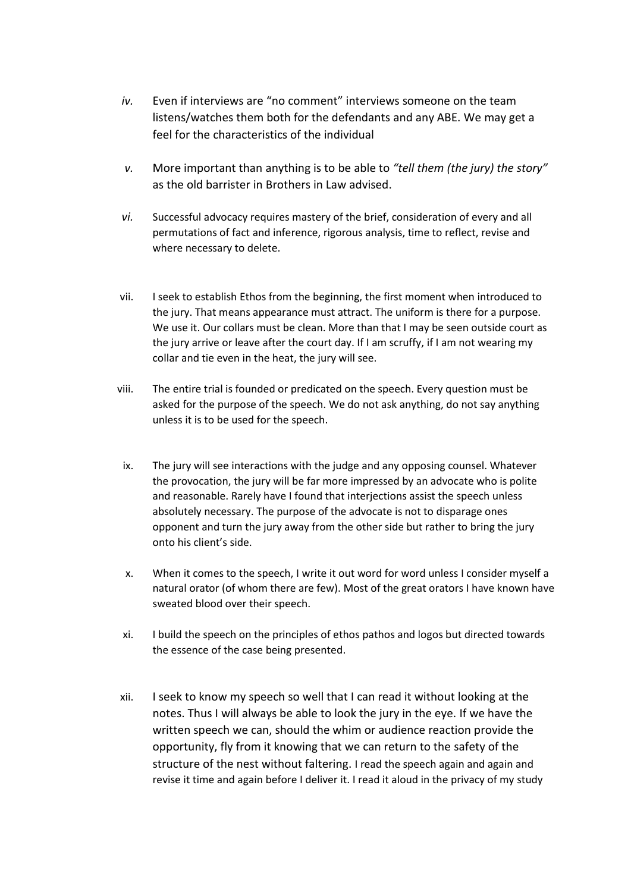- *iv.* Even if interviews are "no comment" interviews someone on the team listens/watches them both for the defendants and any ABE. We may get a feel for the characteristics of the individual
- *v.* More important than anything is to be able to *"tell them (the jury) the story"*  as the old barrister in Brothers in Law advised.
- *vi.* Successful advocacy requires mastery of the brief, consideration of every and all permutations of fact and inference, rigorous analysis, time to reflect, revise and where necessary to delete.
- vii. I seek to establish Ethos from the beginning, the first moment when introduced to the jury. That means appearance must attract. The uniform is there for a purpose. We use it. Our collars must be clean. More than that I may be seen outside court as the jury arrive or leave after the court day. If I am scruffy, if I am not wearing my collar and tie even in the heat, the jury will see.
- viii. The entire trial is founded or predicated on the speech. Every question must be asked for the purpose of the speech. We do not ask anything, do not say anything unless it is to be used for the speech.
- ix. The jury will see interactions with the judge and any opposing counsel. Whatever the provocation, the jury will be far more impressed by an advocate who is polite and reasonable. Rarely have I found that interjections assist the speech unless absolutely necessary. The purpose of the advocate is not to disparage ones opponent and turn the jury away from the other side but rather to bring the jury onto his client's side.
- x. When it comes to the speech, I write it out word for word unless I consider myself a natural orator (of whom there are few). Most of the great orators I have known have sweated blood over their speech.
- xi. I build the speech on the principles of ethos pathos and logos but directed towards the essence of the case being presented.
- xii. I seek to know my speech so well that I can read it without looking at the notes. Thus I will always be able to look the jury in the eye. If we have the written speech we can, should the whim or audience reaction provide the opportunity, fly from it knowing that we can return to the safety of the structure of the nest without faltering. I read the speech again and again and revise it time and again before I deliver it. I read it aloud in the privacy of my study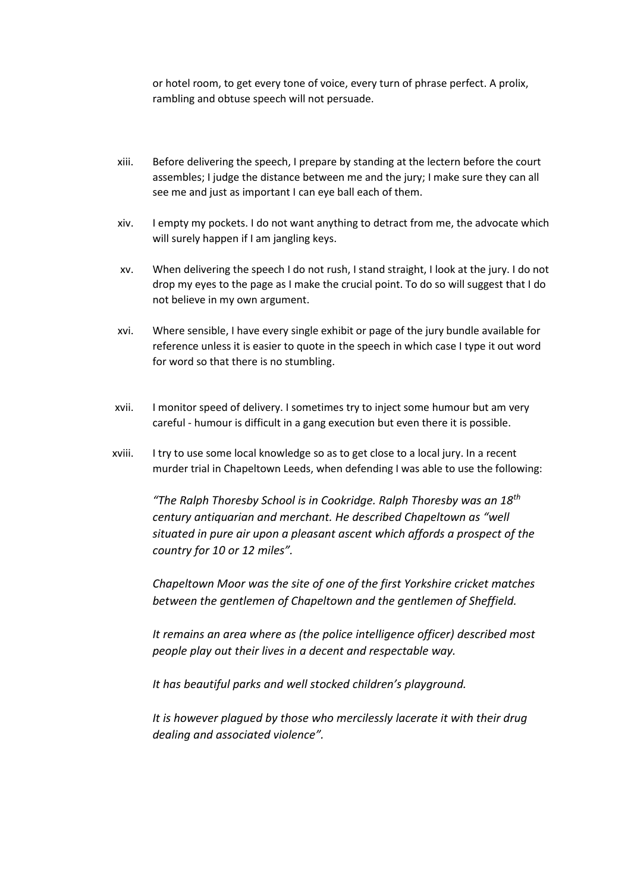or hotel room, to get every tone of voice, every turn of phrase perfect. A prolix, rambling and obtuse speech will not persuade.

- xiii. Before delivering the speech, I prepare by standing at the lectern before the court assembles; I judge the distance between me and the jury; I make sure they can all see me and just as important I can eye ball each of them.
- xiv. I empty my pockets. I do not want anything to detract from me, the advocate which will surely happen if I am jangling keys.
- xv. When delivering the speech I do not rush, I stand straight, I look at the jury. I do not drop my eyes to the page as I make the crucial point. To do so will suggest that I do not believe in my own argument.
- xvi. Where sensible, I have every single exhibit or page of the jury bundle available for reference unless it is easier to quote in the speech in which case I type it out word for word so that there is no stumbling.
- xvii. I monitor speed of delivery. I sometimes try to inject some humour but am very careful - humour is difficult in a gang execution but even there it is possible.
- xviii. I try to use some local knowledge so as to get close to a local jury. In a recent murder trial in Chapeltown Leeds, when defending I was able to use the following:

*"The Ralph Thoresby School is in Cookridge. Ralph Thoresby was an 18th century antiquarian and merchant. He described Chapeltown as "well situated in pure air upon a pleasant ascent which affords a prospect of the country for 10 or 12 miles".* 

*Chapeltown Moor was the site of one of the first Yorkshire cricket matches between the gentlemen of Chapeltown and the gentlemen of Sheffield.* 

*It remains an area where as (the police intelligence officer) described most people play out their lives in a decent and respectable way.* 

*It has beautiful parks and well stocked children's playground.* 

*It is however plagued by those who mercilessly lacerate it with their drug dealing and associated violence".*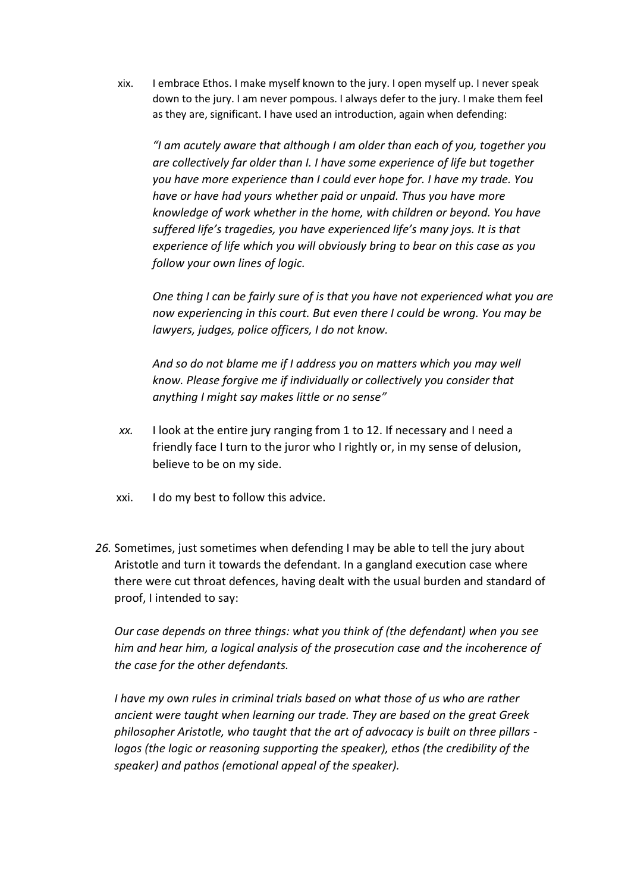xix. I embrace Ethos. I make myself known to the jury. I open myself up. I never speak down to the jury. I am never pompous. I always defer to the jury. I make them feel as they are, significant. I have used an introduction, again when defending:

*"I am acutely aware that although I am older than each of you, together you are collectively far older than I. I have some experience of life but together you have more experience than I could ever hope for. I have my trade. You have or have had yours whether paid or unpaid. Thus you have more knowledge of work whether in the home, with children or beyond. You have suffered life's tragedies, you have experienced life's many joys. It is that experience of life which you will obviously bring to bear on this case as you follow your own lines of logic.*

*One thing I can be fairly sure of is that you have not experienced what you are now experiencing in this court. But even there I could be wrong. You may be lawyers, judges, police officers, I do not know.*

*And so do not blame me if I address you on matters which you may well know. Please forgive me if individually or collectively you consider that anything I might say makes little or no sense"*

- *xx.* I look at the entire jury ranging from 1 to 12. If necessary and I need a friendly face I turn to the juror who I rightly or, in my sense of delusion, believe to be on my side.
- xxi. I do my best to follow this advice.
- *26.* Sometimes, just sometimes when defending I may be able to tell the jury about Aristotle and turn it towards the defendant*.* In a gangland execution case where there were cut throat defences, having dealt with the usual burden and standard of proof, I intended to say:

*Our case depends on three things: what you think of (the defendant) when you see him and hear him, a logical analysis of the prosecution case and the incoherence of the case for the other defendants.*

*I have my own rules in criminal trials based on what those of us who are rather ancient were taught when learning our trade. They are based on the great Greek philosopher Aristotle, who taught that the art of advocacy is built on three pillars logos (the logic or reasoning supporting the speaker), ethos (the credibility of the speaker) and pathos (emotional appeal of the speaker).*